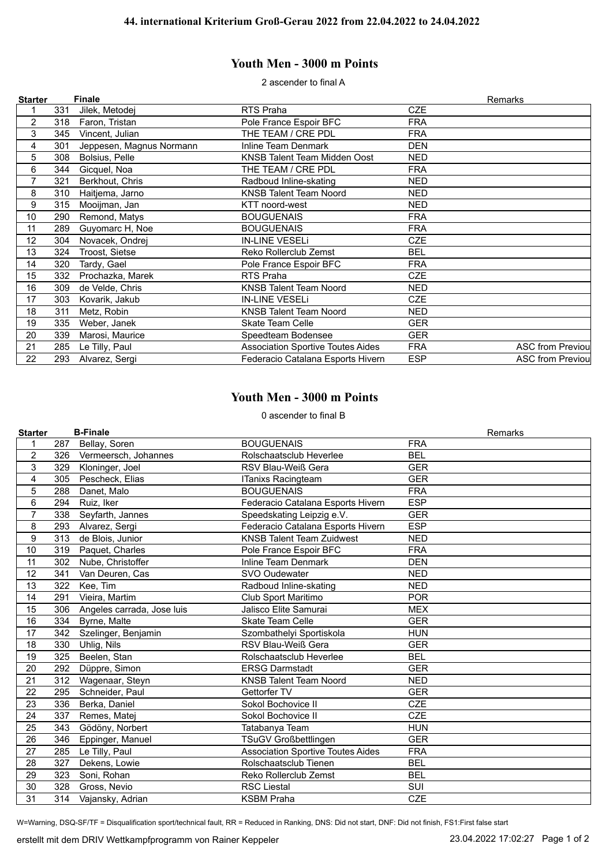## **Youth Men - 3000 m Points**

2 ascender to final A

| <b>Starter</b> |     | <b>Finale</b>            |                                          |            | Remarks                  |
|----------------|-----|--------------------------|------------------------------------------|------------|--------------------------|
|                | 331 | Jilek, Metodej           | RTS Praha                                | <b>CZE</b> |                          |
| $\overline{c}$ | 318 | Faron, Tristan           | Pole France Espoir BFC                   | <b>FRA</b> |                          |
| 3              | 345 | Vincent, Julian          | THE TEAM / CRE PDL                       | <b>FRA</b> |                          |
| 4              | 301 | Jeppesen, Magnus Normann | Inline Team Denmark                      | DEN        |                          |
| 5              | 308 | Bolsius, Pelle           | KNSB Talent Team Midden Oost             | NED        |                          |
| 6              | 344 | Gicquel, Noa             | THE TEAM / CRE PDL                       | <b>FRA</b> |                          |
| $\overline{7}$ | 321 | Berkhout, Chris          | Radboud Inline-skating                   | <b>NED</b> |                          |
| 8              | 310 | Haitjema, Jarno          | <b>KNSB Talent Team Noord</b>            | NED        |                          |
| 9              | 315 | Mooijman, Jan            | KTT noord-west                           | NED        |                          |
| 10             | 290 | Remond, Matys            | <b>BOUGUENAIS</b>                        | <b>FRA</b> |                          |
| 11             | 289 | Guyomarc H, Noe          | <b>BOUGUENAIS</b>                        | <b>FRA</b> |                          |
| 12             | 304 | Novacek, Ondrej          | <b>IN-LINE VESELI</b>                    | <b>CZE</b> |                          |
| 13             | 324 | Troost, Sietse           | Reko Rollerclub Zemst                    | BEL        |                          |
| 14             | 320 | Tardy, Gael              | Pole France Espoir BFC                   | <b>FRA</b> |                          |
| 15             | 332 | Prochazka, Marek         | RTS Praha                                | CZE        |                          |
| 16             | 309 | de Velde, Chris          | <b>KNSB Talent Team Noord</b>            | NED        |                          |
| 17             | 303 | Kovarik, Jakub           | <b>IN-LINE VESELI</b>                    | <b>CZE</b> |                          |
| 18             | 311 | Metz, Robin              | <b>KNSB Talent Team Noord</b>            | <b>NED</b> |                          |
| 19             | 335 | Weber, Janek             | <b>Skate Team Celle</b>                  | <b>GER</b> |                          |
| 20             | 339 | Marosi, Maurice          | Speedteam Bodensee                       | <b>GER</b> |                          |
| 21             | 285 | Le Tilly, Paul           | <b>Association Sportive Toutes Aides</b> | <b>FRA</b> | <b>ASC from Previoul</b> |
| 22             | 293 | Alvarez, Sergi           | Federacio Catalana Esports Hivern        | <b>ESP</b> | <b>ASC from Previoul</b> |

## **Youth Men - 3000 m Points**

0 ascender to final B

|     | <b>B-Finale</b>            |                                          | Remarks    |
|-----|----------------------------|------------------------------------------|------------|
| 287 | Bellay, Soren              | <b>BOUGUENAIS</b>                        | <b>FRA</b> |
| 326 | Vermeersch, Johannes       | Rolschaatsclub Heverlee                  | <b>BEL</b> |
| 329 | Kloninger, Joel            | RSV Blau-Weiß Gera                       | <b>GER</b> |
| 305 | Pescheck, Elias            | ITanixs Racingteam                       | <b>GER</b> |
| 288 | Danet. Malo                | <b>BOUGUENAIS</b>                        | <b>FRA</b> |
| 294 | Ruiz, Iker                 | Federacio Catalana Esports Hivern        | <b>ESP</b> |
| 338 | Seyfarth, Jannes           | Speedskating Leipzig e.V.                | <b>GER</b> |
| 293 | Alvarez, Sergi             | Federacio Catalana Esports Hivern        | <b>ESP</b> |
| 313 | de Blois, Junior           | <b>KNSB Talent Team Zuidwest</b>         | <b>NED</b> |
| 319 | Paquet, Charles            | Pole France Espoir BFC                   | <b>FRA</b> |
| 302 | Nube, Christoffer          | <b>Inline Team Denmark</b>               | <b>DEN</b> |
| 341 | Van Deuren, Cas            | SVO Oudewater                            | <b>NED</b> |
| 322 | Kee, Tim                   | Radboud Inline-skating                   | <b>NED</b> |
| 291 | Vieira, Martim             | Club Sport Maritimo                      | <b>POR</b> |
| 306 | Angeles carrada, Jose luis | Jalisco Elite Samurai                    | <b>MEX</b> |
| 334 | Byrne, Malte               | <b>Skate Team Celle</b>                  | <b>GER</b> |
| 342 | Szelinger, Benjamin        | Szombathelyi Sportiskola                 | <b>HUN</b> |
| 330 | Uhlig, Nils                | RSV Blau-Weiß Gera                       | <b>GER</b> |
| 325 | Beelen, Stan               | Rolschaatsclub Heverlee                  | <b>BEL</b> |
| 292 | Düppre, Simon              | <b>ERSG Darmstadt</b>                    | <b>GER</b> |
| 312 | Wagenaar, Steyn            | <b>KNSB Talent Team Noord</b>            | <b>NED</b> |
| 295 | Schneider, Paul            | Gettorfer TV                             | <b>GER</b> |
| 336 | Berka, Daniel              | Sokol Bochovice II                       | <b>CZE</b> |
| 337 | Remes, Matej               | Sokol Bochovice II                       | <b>CZE</b> |
| 343 | Gödöny, Norbert            | Tatabanya Team                           | <b>HUN</b> |
| 346 | Eppinger, Manuel           | <b>TSuGV Großbettlingen</b>              | <b>GER</b> |
| 285 | Le Tilly, Paul             | <b>Association Sportive Toutes Aides</b> | <b>FRA</b> |
| 327 | Dekens, Lowie              | Rolschaatsclub Tienen                    | <b>BEL</b> |
| 323 | Soni, Rohan                | Reko Rollerclub Zemst                    | <b>BEL</b> |
| 328 | Gross, Nevio               | <b>RSC Liestal</b>                       | SUI        |
| 314 | Vajansky, Adrian           | <b>KSBM Praha</b>                        | <b>CZE</b> |
|     |                            |                                          |            |

W=Warning, DSQ-SF/TF = Disqualification sport/technical fault, RR = Reduced in Ranking, DNS: Did not start, DNF: Did not finish, FS1:First false start